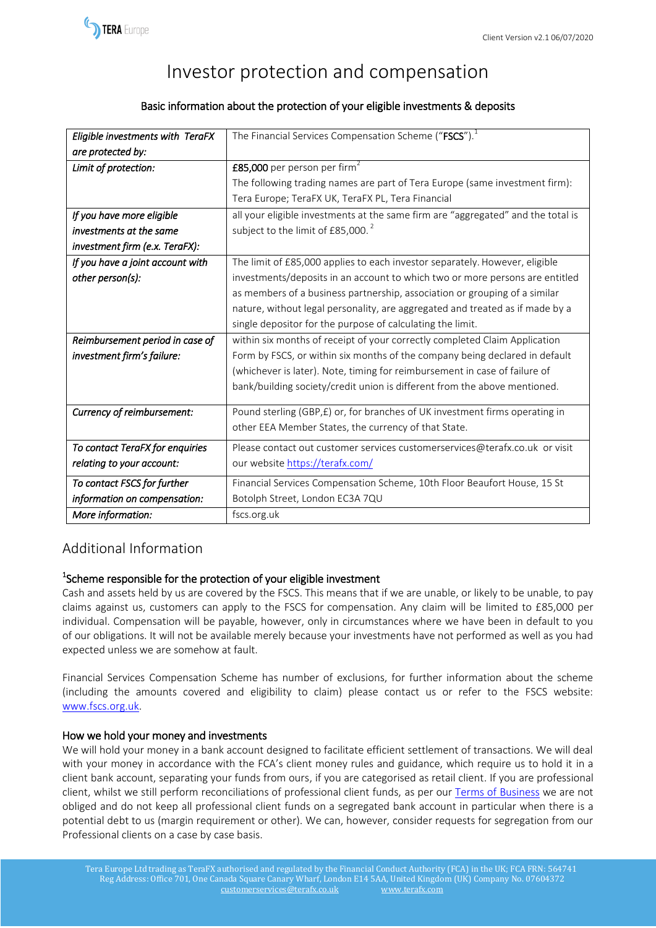

# Investor protection and compensation

### Basic information about the protection of your eligible investments & deposits

| Eligible investments with TeraFX | The Financial Services Compensation Scheme ("FSCS"). <sup>1</sup>                |
|----------------------------------|----------------------------------------------------------------------------------|
| are protected by:                |                                                                                  |
| Limit of protection:             | £85,000 per person per firm <sup>2</sup>                                         |
|                                  | The following trading names are part of Tera Europe (same investment firm):      |
|                                  | Tera Europe; TeraFX UK, TeraFX PL, Tera Financial                                |
| If you have more eligible        | all your eligible investments at the same firm are "aggregated" and the total is |
| investments at the same          | subject to the limit of £85,000. <sup>2</sup>                                    |
| investment firm (e.x. TeraFX):   |                                                                                  |
| If you have a joint account with | The limit of £85,000 applies to each investor separately. However, eligible      |
| other person(s):                 | investments/deposits in an account to which two or more persons are entitled     |
|                                  | as members of a business partnership, association or grouping of a similar       |
|                                  | nature, without legal personality, are aggregated and treated as if made by a    |
|                                  | single depositor for the purpose of calculating the limit.                       |
| Reimbursement period in case of  | within six months of receipt of your correctly completed Claim Application       |
| investment firm's failure:       | Form by FSCS, or within six months of the company being declared in default      |
|                                  | (whichever is later). Note, timing for reimbursement in case of failure of       |
|                                  | bank/building society/credit union is different from the above mentioned.        |
| Currency of reimbursement:       | Pound sterling (GBP, £) or, for branches of UK investment firms operating in     |
|                                  | other EEA Member States, the currency of that State.                             |
| To contact TeraFX for enquiries  | Please contact out customer services customerservices@terafx.co.uk or visit      |
| relating to your account:        | our website https://terafx.com/                                                  |
| To contact FSCS for further      | Financial Services Compensation Scheme, 10th Floor Beaufort House, 15 St         |
| information on compensation:     | Botolph Street, London EC3A 7QU                                                  |
| More information:                | fscs.org.uk                                                                      |

## Additional Information

## <sup>1</sup>Scheme responsible for the protection of your eligible investment

Cash and assets held by us are covered by the FSCS. This means that if we are unable, or likely to be unable, to pay claims against us, customers can apply to the FSCS for compensation. Any claim will be limited to £85,000 per individual. Compensation will be payable, however, only in circumstances where we have been in default to you of our obligations. It will not be available merely because your investments have not performed as well as you had expected unless we are somehow at fault.

Financial Services Compensation Scheme has number of exclusions, for further information about the scheme (including the amounts covered and eligibility to claim) please contact us or refer to the FSCS website: [www.fscs.org.uk.](http://www.fscs.org.uk/)

#### How we hold your money and investments

We will hold your money in a bank account designed to facilitate efficient settlement of transactions. We will deal with your money in accordance with the FCA's client money rules and guidance, which require us to hold it in a client bank account, separating your funds from ours, if you are categorised as retail client. If you are professional client, whilst we still perform reconciliations of professional client funds, as per our [Terms of Business](https://www.terafx.co.uk/get-started/documents) we are not obliged and do not keep all professional client funds on a segregated bank account in particular when there is a potential debt to us (margin requirement or other). We can, however, consider requests for segregation from our Professional clients on a case by case basis.